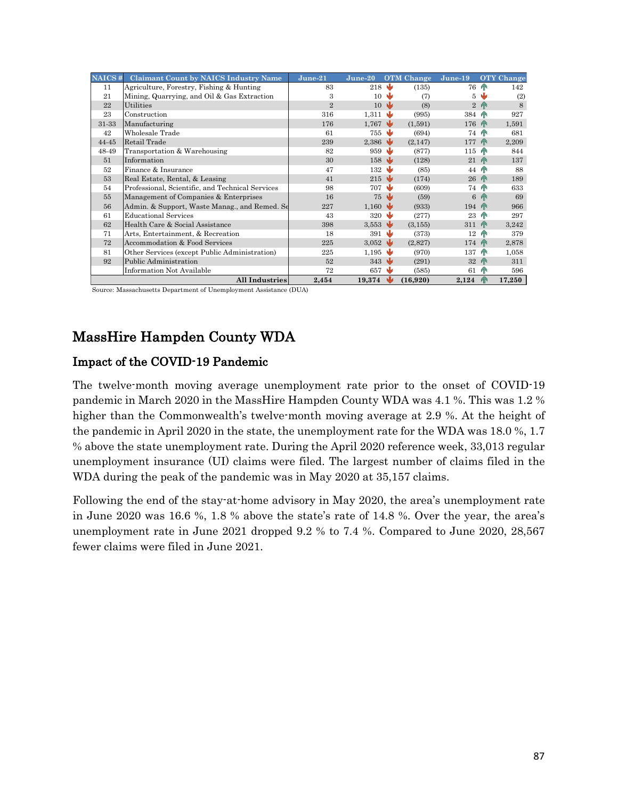| NAICS# | <b>Claimant Count by NAICS Industry Name</b>     | $June-21$      | $June-20$                     |     | <b>OTM</b> Change | $June-19$      |                | <b>OTY</b> Change |
|--------|--------------------------------------------------|----------------|-------------------------------|-----|-------------------|----------------|----------------|-------------------|
| 11     | Agriculture, Forestry, Fishing & Hunting         | 83             | 218                           |     | (135)             | <b>76 AN</b>   |                | 142               |
| 21     | Mining, Quarrying, and Oil & Gas Extraction      | 3              | 10                            | Ŵ   | (7)               | 5              |                | (2)               |
| 22     | Utilities                                        | $\overline{2}$ | 10                            | ₩   | (8)               |                | 2 <sup>6</sup> | 8                 |
| 23     | Construction                                     | 316            | 1,311                         | ₩   | (995)             | 384 T          |                | 927               |
| 31-33  | Manufacturing                                    | 176            | 1,767                         | - W | (1,591)           | 176 T          |                | 1,591             |
| 42     | Wholesale Trade                                  | 61             | 755                           |     | (694)             | <b>74 PM</b>   |                | 681               |
| 44-45  | Retail Trade                                     | 239            | 2,386                         |     | (2,147)           | 177            | <b>AN</b>      | 2,209             |
| 48-49  | Transportation & Warehousing                     | 82             | 959                           | w   | (877)             | $115$ T        |                | 844               |
| 51     | Information                                      | 30             | 158                           |     | (128)             | $21$ $\wedge$  |                | 137               |
| 52     | Finance & Insurance                              | 47             | 132                           | w   | (85)              | 44             |                | 88                |
| 53     | Real Estate, Rental, & Leasing                   | 41             | $215 \quad \bullet$           |     | (174)             | $26$ $\wedge$  |                | 189               |
| 54     | Professional, Scientific, and Technical Services | 98             | 707                           | w   | (609)             | <b>74 PM</b>   |                | 633               |
| 55     | Management of Companies & Enterprises            | 16             | 75                            | w   | (59)              |                | 6 <sup>h</sup> | 69                |
| 56     | Admin. & Support, Waste Manag., and Remed. Se    | 227            | $1,160 \ \blacktriangleright$ |     | (933)             | $194$ $\wedge$ |                | 966               |
| 61     | <b>Educational Services</b>                      | 43             | 320                           | w   | (277)             | 23             | H <sub>N</sub> | 297               |
| 62     | Health Care & Social Assistance                  | 398            | 3,553 $\sqrt{ }$              |     | (3, 155)          | 311 T          |                | 3,242             |
| 71     | Arts, Entertainment, & Recreation                | 18             | 391                           | ۰W  | (373)             | 12             | ЙN             | 379               |
| 72     | Accommodation & Food Services                    | 225            | $3.052 \rightarrow$           |     | (2,827)           | 174 PM         |                | 2,878             |
| 81     | Other Services (except Public Administration)    | 225            | 1,195                         |     | (970)             | 137            | ЙN             | 1,058             |
| 92     | Public Administration                            | 52             | 343                           | ۰W  | (291)             | 32 AN          |                | 311               |
|        | Information Not Available                        | 72             | 657                           |     | (585)             | 61             | ЙN             | 596               |
|        | <b>All Industries</b>                            | 2,454          | 19,374                        |     | (16,920)          | 2,124          | ИN             | 17,250            |

Source: Massachusetts Department of Unemployment Assistance (DUA)

# MassHire Hampden County WDA

# Impact of the COVID-19 Pandemic

The twelve-month moving average unemployment rate prior to the onset of COVID-19 pandemic in March 2020 in the MassHire Hampden County WDA was 4.1 %. This was 1.2 % higher than the Commonwealth's twelve-month moving average at 2.9 %. At the height of the pandemic in April 2020 in the state, the unemployment rate for the WDA was 18.0 %, 1.7 % above the state unemployment rate. During the April 2020 reference week, 33,013 regular unemployment insurance (UI) claims were filed. The largest number of claims filed in the WDA during the peak of the pandemic was in May 2020 at 35,157 claims.

Following the end of the stay-at-home advisory in May 2020, the area's unemployment rate in June 2020 was 16.6 %, 1.8 % above the state's rate of 14.8 %. Over the year, the area's unemployment rate in June 2021 dropped 9.2 % to 7.4 %. Compared to June 2020, 28,567 fewer claims were filed in June 2021.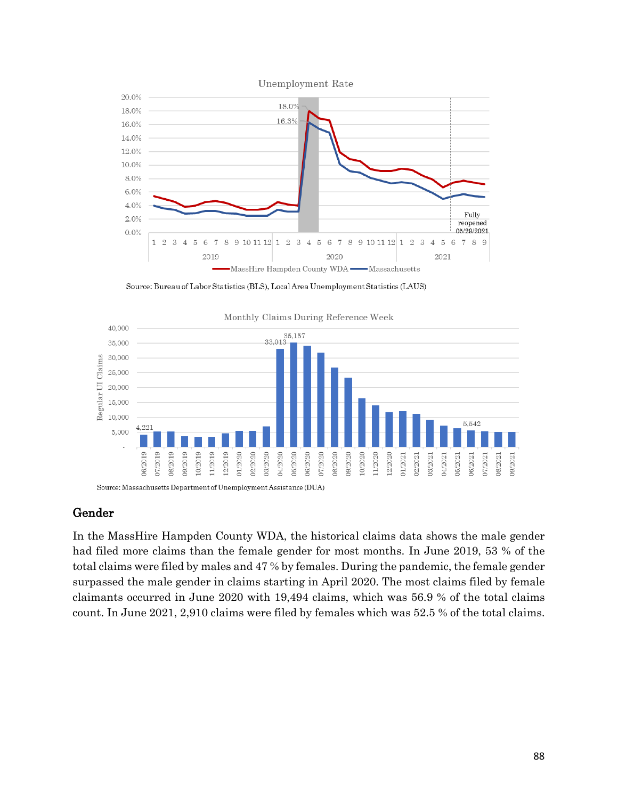



## Gender

In the MassHire Hampden County WDA, the historical claims data shows the male gender had filed more claims than the female gender for most months. In June 2019, 53 % of the total claims were filed by males and 47 % by females. During the pandemic, the female gender surpassed the male gender in claims starting in April 2020. The most claims filed by female claimants occurred in June 2020 with 19,494 claims, which was 56.9 % of the total claims count. In June 2021, 2,910 claims were filed by females which was 52.5 % of the total claims.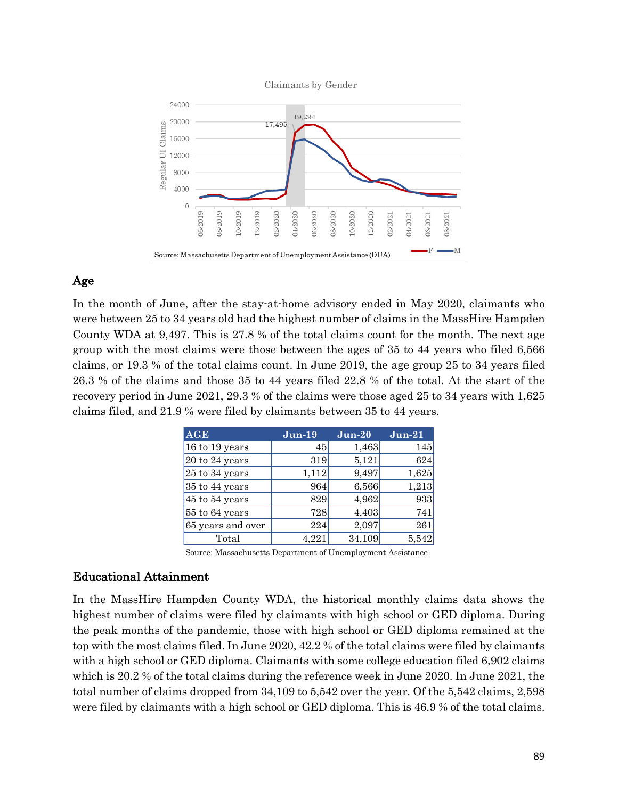

# Age

In the month of June, after the stay-at-home advisory ended in May 2020, claimants who were between 25 to 34 years old had the highest number of claims in the MassHire Hampden County WDA at 9,497. This is 27.8 % of the total claims count for the month. The next age group with the most claims were those between the ages of 35 to 44 years who filed 6,566 claims, or 19.3 % of the total claims count. In June 2019, the age group 25 to 34 years filed 26.3 % of the claims and those 35 to 44 years filed 22.8 % of the total. At the start of the recovery period in June 2021, 29.3 % of the claims were those aged 25 to 34 years with 1,625 claims filed, and 21.9 % were filed by claimants between 35 to 44 years.

| <b>AGE</b>        | $Jun-19$ | $Jun-20$ | $Jun-21$ |
|-------------------|----------|----------|----------|
| 16 to 19 years    | 45       | 1,463    | 145      |
| 20 to 24 years    | 319      | 5,121    | 624      |
| 25 to 34 years    | 1,112    | 9,497    | 1,625    |
| 35 to 44 years    | 964      | 6,566    | 1,213    |
| 45 to 54 years    | 829      | 4,962    | 933      |
| 55 to 64 years    | 728      | 4,403    | 741      |
| 65 years and over | 224      | 2,097    | 261      |
| Total             | 4.221    | 34,109   | 5,542    |

Source: Massachusetts Department of Unemployment Assistance

#### Educational Attainment

In the MassHire Hampden County WDA, the historical monthly claims data shows the highest number of claims were filed by claimants with high school or GED diploma. During the peak months of the pandemic, those with high school or GED diploma remained at the top with the most claims filed. In June 2020, 42.2 % of the total claims were filed by claimants with a high school or GED diploma. Claimants with some college education filed 6,902 claims which is 20.2 % of the total claims during the reference week in June 2020. In June 2021, the total number of claims dropped from 34,109 to 5,542 over the year. Of the 5,542 claims, 2,598 were filed by claimants with a high school or GED diploma. This is 46.9 % of the total claims.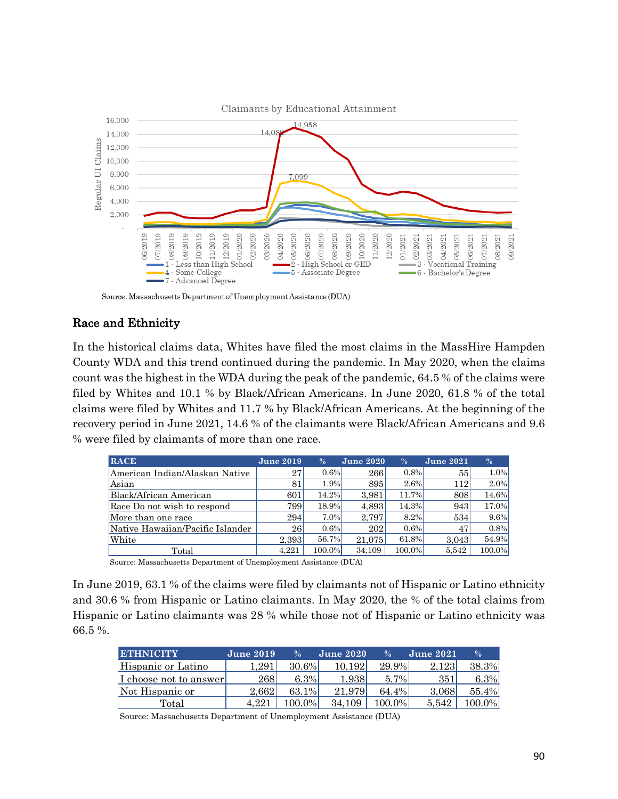

## Race and Ethnicity

In the historical claims data, Whites have filed the most claims in the MassHire Hampden County WDA and this trend continued during the pandemic. In May 2020, when the claims count was the highest in the WDA during the peak of the pandemic, 64.5 % of the claims were filed by Whites and 10.1 % by Black/African Americans. In June 2020, 61.8 % of the total claims were filed by Whites and 11.7 % by Black/African Americans. At the beginning of the recovery period in June 2021, 14.6 % of the claimants were Black/African Americans and 9.6 % were filed by claimants of more than one race.

| <b>RACE</b>                      | <b>June 2019</b> | $\%$    | <b>June 2020</b> | $\%$    | <b>June 2021</b> | $\%$    |
|----------------------------------|------------------|---------|------------------|---------|------------------|---------|
| American Indian/Alaskan Native   | 27               | $0.6\%$ | 266              | $0.8\%$ | 55               | $1.0\%$ |
| Asian                            | 81               | 1.9%    | 895              | 2.6%    | 112              | $2.0\%$ |
| Black/African American           | 601              | 14.2%   | 3.981            | 11.7%   | 808              | 14.6%   |
| Race Do not wish to respond      | 799              | 18.9%   | 4.893            | 14.3%   | 943              | 17.0%   |
| More than one race               | 294              | $7.0\%$ | 2,797            | 8.2%    | 534              | $9.6\%$ |
| Native Hawaiian/Pacific Islander | 26               | $0.6\%$ | 202              | $0.6\%$ | 47               | $0.8\%$ |
| White                            | 2,393            | 56.7%   | 21.075           | 61.8%   | 3,043            | 54.9%   |
| Total                            | 4.221            | 100.0%  | 34.109           | 100.0%  | 5.542            | 100.0%  |

Source: Massachusetts Department of Unemployment Assistance (DUA)

In June 2019, 63.1 % of the claims were filed by claimants not of Hispanic or Latino ethnicity and 30.6 % from Hispanic or Latino claimants. In May 2020, the % of the total claims from Hispanic or Latino claimants was 28 % while those not of Hispanic or Latino ethnicity was 66.5 %.

| <b>ETHNICITY</b>       | <b>June 2019</b> | $\frac{0}{6}$ | <b>June 2020</b> | $\frac{0}{6}$ | <b>June 2021</b> | $\%$   |
|------------------------|------------------|---------------|------------------|---------------|------------------|--------|
| Hispanic or Latino     | $1.291\,$        | 30.6%         | 10.192           | 29.9%         | 2.123            | 38.3%  |
| I choose not to answer | 268              | 6.3%          | 1.9381           | $5.7\%$       | 351              | 6.3%   |
| Not Hispanic or        | 2.662            | 63.1%         | 21.979           | 64.4%         | 3.068            | 55.4%  |
| Total                  | 4.221            | 100.0%        | 34.109           | 100.0%        | 5.542            | .00.0% |

Source: Massachusetts Department of Unemployment Assistance (DUA)